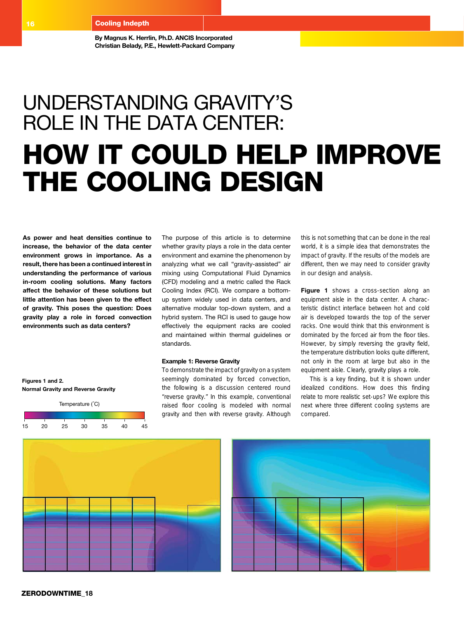**By Magnus K. Herrlin, Ph.D. ANCIS Incorporated Christian Belady, P.E., Hewlett-Packard Company**

# Understanding Gravity's Role in the Data Center: HOW IT COULD HELP IMPROVE the Cooling Design

**As power and heat densities continue to increase, the behavior of the data center environment grows in importance. As a result, there has been a continued interest in understanding the performance of various in-room cooling solutions. Many factors affect the behavior of these solutions but little attention has been given to the effect of gravity. This poses the question: Does gravity play a role in forced convection environments such as data centers?**

**Figures 1 and 2. Normal Gravity and Reverse Gravity**



The purpose of this article is to determine whether gravity plays a role in the data center environment and examine the phenomenon by analyzing what we call "gravity-assisted" air mixing using Computational Fluid Dynamics (CFD) modeling and a metric called the Rack Cooling Index (RCI). We compare a bottomup system widely used in data centers, and alternative modular top-down system, and a hybrid system. The RCI is used to gauge how effectively the equipment racks are cooled and maintained within thermal guidelines or standards.

# **Example 1: Reverse Gravity**

To demonstrate the impact of gravity on a system seemingly dominated by forced convection, the following is a discussion centered round "reverse gravity." In this example, conventional raised floor cooling is modeled with normal gravity and then with reverse gravity. Although

this is not something that can be done in the real world, it is a simple idea that demonstrates the impact of gravity. If the results of the models are different, then we may need to consider gravity in our design and analysis.

Figure 1 shows a cross-section along an equipment aisle in the data center. A characteristic distinct interface between hot and cold air is developed towards the top of the server racks. One would think that this environment is dominated by the forced air from the floor tiles. However, by simply reversing the gravity field, the temperature distribution looks quite different, not only in the room at large but also in the equipment aisle. Clearly, gravity plays a role.

This is a key finding, but it is shown under idealized conditions. How does this finding relate to more realistic set-ups? We explore this next where three different cooling systems are compared.



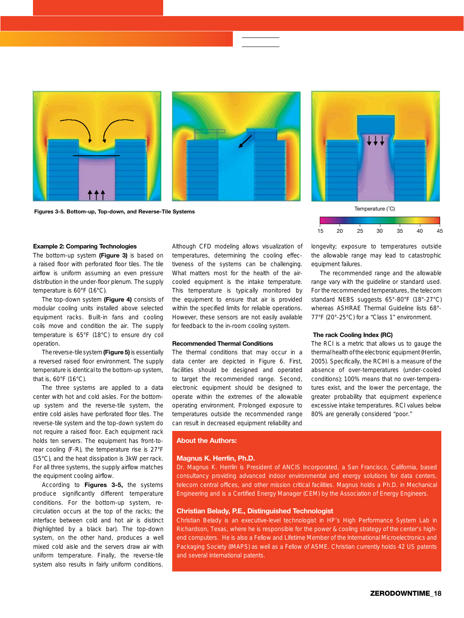

Figures 3-5. Bottom-up, Top-down, and Reverse-Tile Systems

# **Example 2: Comparing Technologies**

The bottom-up system **(Figure 3)** is based on a raised floor with perforated floor tiles. The tile airflow is uniform assuming an even pressure distribution in the under-floor plenum. The supply temperature is 60°F (16°C).

The top-down system **(Figure 4)** consists of modular cooling units installed above selected equipment racks. Built-in fans and cooling coils move and condition the air. The supply temperature is 65°F (18°C) to ensure dry coil operation.

The reverse-tile system **(Figure 5)** is essentially a reversed raised floor environment. The supply temperature is identical to the bottom-up system, that is, 60°F (16°C).

The three systems are applied to a data center with hot and cold aisles. For the bottomup system and the reverse-tile system, the entire cold aisles have perforated floor tiles. The reverse-tile system and the top-down system do not require a raised floor. Each equipment rack holds ten servers. The equipment has front-torear cooling (F-R), the temperature rise is 27°F (15°C), and the heat dissipation is 3kW per rack. For all three systems, the supply airflow matches the equipment cooling airflow.

According to **Figures 3-5,** the systems produce significantly different temperature conditions. For the bottom-up system, recirculation occurs at the top of the racks; the interface between cold and hot air is distinct (highlighted by a black bar). The top-down system, on the other hand, produces a well mixed cold aisle and the servers draw air with uniform temperature. Finally, the reverse-tile system also results in fairly uniform conditions.

Although CFD modeling allows visualization of temperatures, determining the cooling effectiveness of the systems can be challenging. What matters most for the health of the aircooled equipment is the intake temperature. This temperature is typically monitored by the equipment to ensure that air is provided within the specified limits for reliable operations. However, these sensors are not easily available for feedback to the in-room cooling system.

## **Recommended Thermal Conditions**

The thermal conditions that may occur in a data center are depicted in Figure 6. First, facilities should be designed and operated to target the recommended range. Second, electronic equipment should be designed to operate within the extremes of the allowable operating environment. Prolonged exposure to temperatures outside the recommended range can result in decreased equipment reliability and



longevity; exposure to temperatures outside the allowable range may lead to catastrophic equipment failures.

The recommended range and the allowable range vary with the guideline or standard used. For the recommended temperatures, the telecom standard NEBS suggests 65°-80°F (18°-27°C) whereas ASHRAE Thermal Guideline lists 68°- 77°F (20°-25°C) for a "Class 1" environment.

## **The rack Cooling Index (RC)**

The RCI is a metric that allows us to gauge the thermal health of the electronic equipment (Herrlin, 2005). Specifically, the RCIHI is a measure of the absence of over-temperatures (under-cooled conditions); 100% means that no over-temperatures exist, and the lower the percentage, the greater probability that equipment experience excessive intake temperatures. RCI values below 80% are generally considered "poor."

### **About the Authors:**

# **Magnus K. Herrlin, Ph.D.**

Dr. Magnus K. Herrlin is President of ANCIS Incorporated, a San Francisco, California, based consultancy providing advanced indoor environmental and energy solutions for data centers, telecom central offices, and other mission critical facilities. Magnus holds a Ph.D. in Mechanical Engineering and is a Certified Energy Manager (CEM) by the Association of Energy Engineers.

# **Christian Belady, P.E., Distinguished Technologist**

Christian Belady is an executive-level technologist in HP's High Performance System Lab in Richardson, Texas, where he is responsible for the power & cooling strategy of the center's highend computers. He is also a Fellow and Lifetime Member of the International Microelectronics and Packaging Society (IMAPS) as well as a Fellow of ASME. Christian currently holds 42 US patents and several international patents.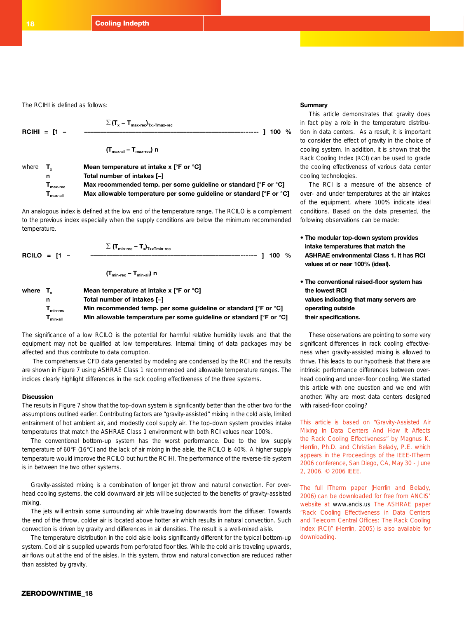The RCIHI is defined as follows:

$$
\Sigma (T_x - T_{\text{max-rec}})_{T_x > T_{\text{max-rec}}}
$$
\n
$$
\text{RCHI} = [1 - \frac{\Sigma (T_x - T_{\text{max-rec}})_{T_x > T_{\text{max-rec}}}}{T_{\text{max-all}} - T_{\text{max-rec}}}
$$
\n
$$
\text{where } T_x \text{ Mean temperature at intake x [°F or °C]}
$$
\n
$$
\text{Total number of intakes } [-]
$$

An analogous index is defined at the low end of the temperature range. The RCILO is a complement to the previous index especially when the supply conditions are below the minimum recommended temperature.

**Tmax-rec Max recommended temp. per some guideline or standard [°F or °C] Tmax-all Max allowable temperature per some guideline or standard [°F or °C]**

| RCILO = $\mathsf{I}1$ - | $\sum$ (T <sub>min-rec</sub> – T <sub>x</sub> ) <sub>Tx&lt;</sub> T <sub>min-rec</sub> | 1100% |  |
|-------------------------|----------------------------------------------------------------------------------------|-------|--|
|                         | $(T_{min-rec} - T_{min-all})$ n                                                        |       |  |

| where $T_{\nu}$ |                                                 | Mean temperature at intake $x \upharpoonright F$ or ${}^{\circ}C$ ] |
|-----------------|-------------------------------------------------|---------------------------------------------------------------------|
|                 | n                                               | Total number of intakes [-]                                         |
|                 | $T_{min-rec}$                                   | Min recommended temp. per some quideline or standard [°F or °C]     |
|                 | $\mathsf{T}_{\mathsf{min}\text{-}\mathsf{all}}$ | Min allowable temperature per some quideline or standard [°F or °C] |

The significance of a low RCILO is the potential for harmful relative humidity levels and that the equipment may not be qualified at low temperatures. Internal timing of data packages may be affected and thus contribute to data corruption.

 The comprehensive CFD data generated by modeling are condensed by the RCI and the results are shown in Figure 7 using ASHRAE Class 1 recommended and allowable temperature ranges. The indices clearly highlight differences in the rack cooling effectiveness of the three systems.

### **Discussion**

The results in Figure 7 show that the top-down system is significantly better than the other two for the assumptions outlined earlier. Contributing factors are "gravity-assisted" mixing in the cold aisle, limited entrainment of hot ambient air, and modestly cool supply air. The top-down system provides intake temperatures that match the ASHRAE Class 1 environment with both RCI values near 100%.

The conventional bottom-up system has the worst performance. Due to the low supply temperature of 60°F (16°C) and the lack of air mixing in the aisle, the RCILO is 40%. A higher supply temperature would improve the RCILO but hurt the RCIHI. The performance of the reverse-tile system is in between the two other systems.

Gravity-assisted mixing is a combination of longer jet throw and natural convection. For overhead cooling systems, the cold downward air jets will be subjected to the benefits of gravity-assisted mixing.

The jets will entrain some surrounding air while traveling downwards from the diffuser. Towards the end of the throw, colder air is located above hotter air which results in natural convection. Such convection is driven by gravity and differences in air densities. The result is a well-mixed aisle.

The temperature distribution in the cold aisle looks significantly different for the typical bottom-up system. Cold air is supplied upwards from perforated floor tiles. While the cold air is traveling upwards, air flows out at the end of the aisles. In this system, throw and natural convection are reduced rather than assisted by gravity.

## **Summary**

This article demonstrates that gravity does in fact play a role in the temperature distribution in data centers. As a result, it is important to consider the effect of gravity in the choice of cooling system. In addition, it is shown that the Rack Cooling Index (RCI) can be used to grade the cooling effectiveness of various data center cooling technologies.

The RCI is a measure of the absence of over- and under temperatures at the air intakes of the equipment, where 100% indicate ideal conditions. Based on the data presented, the following observations can be made:

- **The modular top-down system provides intake temperatures that match the ASHRAE environmental Class 1. It has RCI values at or near 100% (ideal).**
- **The conventional raised-floor system has the lowest RCI values indicating that many servers are operating outside their specifications.**

These observations are pointing to some very significant differences in rack cooling effectiveness when gravity-assisted mixing is allowed to thrive. This leads to our hypothesis that there are intrinsic performance differences between overhead cooling and under-floor cooling. We started this article with one question and we end with another: Why are most data centers designed with raised-floor cooling?

This article is based on "Gravity-Assisted Air Mixing In Data Centers And How It Affects the Rack Cooling Effectiveness" by Magnus K. Herrlin, Ph.D. and Christian Belady, P.E. which appears in the Proceedings of the IEEE-ITherm 2006 conference, San Diego, CA, May 30 - June 2, 2006. © 2006 IEEE.

The full ITherm paper (Herrlin and Belady, 2006) can be downloaded for free from ANCIS' website at www.ancis.us The ASHRAE paper "Rack Cooling Effectiveness in Data Centers and Telecom Central Offices: The Rack Cooling Index (RCI)" (Herrlin, 2005) is also available for downloading.